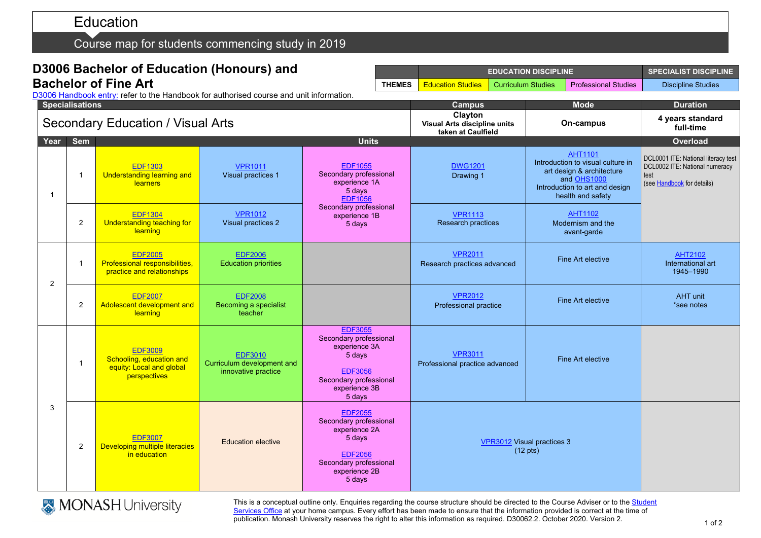# Education

Course map for students commencing study in 2019

|                                          |                        | D3006 Bachelor of Education (Honours) and                                               |                                                                     | <b>EDUCATION DISCIPLINE</b>                                                                                                                |                          |                                                               |  | <b>SPECIALIST DISCIPLINE</b> |                                                                                                                                                        |                                                                                                             |
|------------------------------------------|------------------------|-----------------------------------------------------------------------------------------|---------------------------------------------------------------------|--------------------------------------------------------------------------------------------------------------------------------------------|--------------------------|---------------------------------------------------------------|--|------------------------------|--------------------------------------------------------------------------------------------------------------------------------------------------------|-------------------------------------------------------------------------------------------------------------|
|                                          |                        | <b>Bachelor of Fine Art</b>                                                             |                                                                     | <b>THEMES</b>                                                                                                                              | <b>Education Studies</b> | <b>Curriculum Studies</b>                                     |  | <b>Professional Studies</b>  | <b>Discipline Studies</b>                                                                                                                              |                                                                                                             |
|                                          | <b>Specialisations</b> | D3006 Handbook entry: refer to the Handbook for authorised course and unit information. |                                                                     |                                                                                                                                            | <b>Campus</b>            |                                                               |  | <b>Mode</b>                  | <b>Duration</b>                                                                                                                                        |                                                                                                             |
| <b>Secondary Education / Visual Arts</b> |                        |                                                                                         |                                                                     |                                                                                                                                            |                          | Clayton<br>Visual Arts discipline units<br>taken at Caulfield |  | On-campus                    |                                                                                                                                                        | 4 years standard<br>full-time                                                                               |
| Year                                     | <b>Sem</b>             |                                                                                         |                                                                     | <b>Units</b>                                                                                                                               |                          |                                                               |  |                              |                                                                                                                                                        | Overload                                                                                                    |
| $\overline{1}$                           | $\mathbf 1$            | <b>EDF1303</b><br>Understanding learning and<br><b>learners</b>                         | <b>VPR1011</b><br><b>Visual practices 1</b>                         | <b>EDF1055</b><br>Secondary professional<br>experience 1A<br>5 days<br><b>EDF1056</b><br>Secondary professional<br>experience 1B<br>5 days |                          | <b>DWG1201</b><br>Drawing 1                                   |  |                              | <b>AHT1101</b><br>Introduction to visual culture in<br>art design & architecture<br>and OHS1000<br>Introduction to art and design<br>health and safety | DCL0001 ITE: National literacy test<br>DCL0002 ITE: National numeracy<br>test<br>(see Handbook for details) |
|                                          | $\overline{2}$         | <b>EDF1304</b><br>Understanding teaching for<br>learning                                | <b>VPR1012</b><br>Visual practices 2                                |                                                                                                                                            |                          | <b>VPR1113</b><br>Research practices                          |  |                              | <b>AHT1102</b><br>Modernism and the<br>avant-garde                                                                                                     |                                                                                                             |
| 2                                        | $\mathbf 1$            | <b>EDF2005</b><br>Professional responsibilities,<br>practice and relationships          | <b>EDF2006</b><br><b>Education priorities</b>                       |                                                                                                                                            |                          | <b>VPR2011</b><br>Research practices advanced                 |  |                              | Fine Art elective                                                                                                                                      | <b>AHT2102</b><br>International art<br>1945-1990                                                            |
|                                          | 2                      | <b>EDF2007</b><br>Adolescent development and<br>learning                                | <b>EDF2008</b><br>Becoming a specialist<br>teacher                  |                                                                                                                                            |                          | <b>VPR2012</b><br>Professional practice                       |  |                              | Fine Art elective                                                                                                                                      | <b>AHT</b> unit<br>*see notes                                                                               |
| 3                                        | $\mathbf{1}$           | <b>EDF3009</b><br>Schooling, education and<br>equity: Local and global<br>perspectives  | <b>EDF3010</b><br>Curriculum development and<br>innovative practice | <b>EDF3055</b><br>Secondary professional<br>experience 3A<br>5 days<br><b>EDF3056</b><br>Secondary professional<br>experience 3B<br>5 days |                          | <b>VPR3011</b><br>Professional practice advanced              |  |                              | Fine Art elective                                                                                                                                      |                                                                                                             |
|                                          | 2                      | <b>EDF3007</b><br>Developing multiple literacies<br>in education                        | <b>Education elective</b>                                           | <b>EDF2055</b><br>Secondary professional<br>experience 2A<br>5 days<br><b>EDF2056</b><br>Secondary professional<br>experience 2B<br>5 days |                          | VPR3012 Visual practices 3<br>$(12 \text{ pts})$              |  |                              |                                                                                                                                                        |                                                                                                             |



This is a conceptual outline only. Enquiries regarding the course structure should be directed to the Course Adviser or to the <u>Student</u> <u>[Services Office](https://www.monash.edu/education/current-students/contact)</u> at your home campus. Every effort has been made to ensure that the information provided is correct at the time of publication. Monash University reserves the right to alter this information as required. D30062.2. October 2020. Version 2.